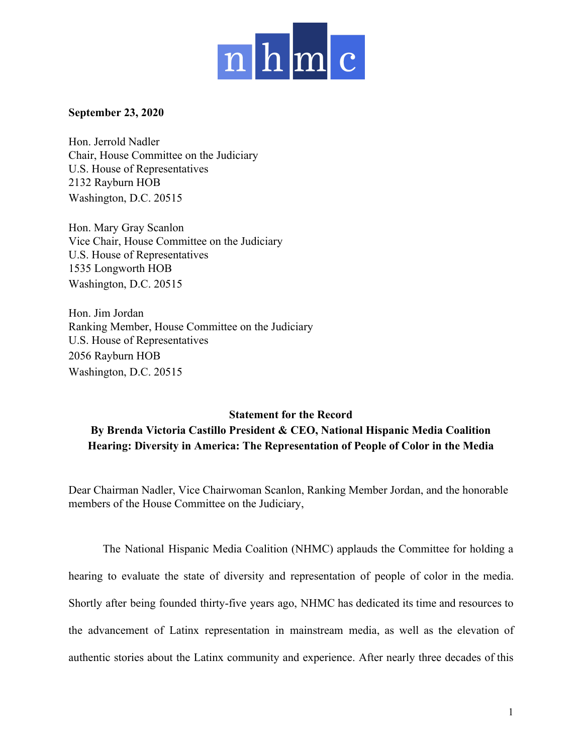

## **September 23, 2020**

Hon. Jerrold Nadler Chair, House Committee on the Judiciary U.S. House of Representatives 2132 Rayburn HOB Washington, D.C. 20515

Hon. Mary Gray Scanlon Vice Chair, House Committee on the Judiciary U.S. House of Representatives 1535 Longworth HOB Washington, D.C. 20515

Hon. Jim Jordan Ranking Member, House Committee on the Judiciary U.S. House of Representatives 2056 Rayburn HOB Washington, D.C. 20515

## **Statement for the Record By Brenda Victoria Castillo President & CEO, National Hispanic Media Coalition Hearing: Diversity in America: The Representation of People of Color in the Media**

Dear Chairman Nadler, Vice Chairwoman Scanlon, Ranking Member Jordan, and the honorable members of the House Committee on the Judiciary,

The National Hispanic Media Coalition (NHMC) applauds the Committee for holding a hearing to evaluate the state of diversity and representation of people of color in the media. Shortly after being founded thirty-five years ago, NHMC has dedicated its time and resources to the advancement of Latinx representation in mainstream media, as well as the elevation of authentic stories about the Latinx community and experience. After nearly three decades of this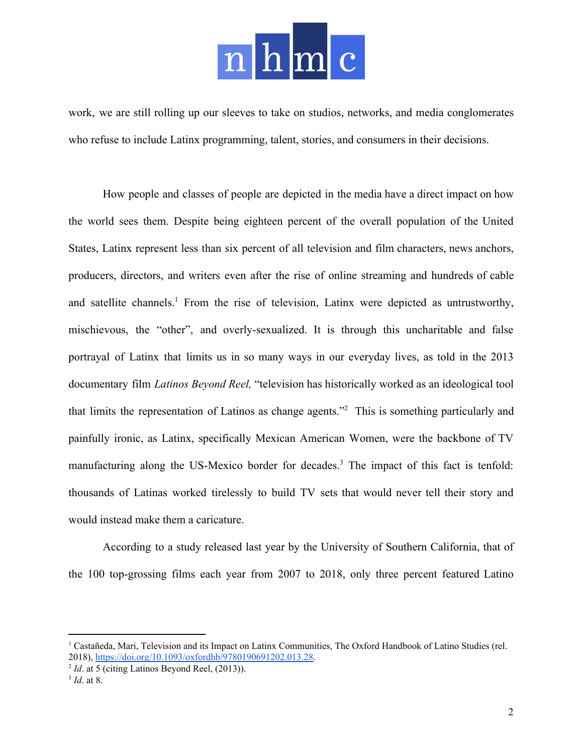

work, we are still rolling up our sleeves to take on studios, networks, and media conglomerates who refuse to include Latinx programming, talent, stories, and consumers in their decisions.

How people and classes of people are depicted in the media have a direct impact on how the world sees them. Despite being eighteen percent of the overall population of the United States, Latinx represent less than six percent of all television and film characters, news anchors, producers, directors, and writers even after the rise of online streaming and hundreds of cable and satellite channels.<sup>1</sup> From the rise of television, Latinx were depicted as untrustworthy, mischievous, the "other", and overly-sexualized. It is through this uncharitable and false portrayal of Latinx that limits us in so many ways in our everyday lives, as told in the 2013 documentary film *Latinos Beyond Reel,* "television has historically worked as an ideological tool that limits the representation of Latinos as change agents."<sup>2</sup> This is something particularly and painfully ironic, as Latinx, specifically Mexican American Women, were the backbone of TV manufacturing along the US-Mexico border for decades.<sup>3</sup> The impact of this fact is tenfold: thousands of Latinas worked tirelessly to build TV sets that would never tell their story and would instead make them a caricature.

According to a study released last year by the University of Southern California, that of the 100 top-grossing films each year from 2007 to 2018, only three percent featured Latino

<sup>&</sup>lt;sup>1</sup> Castañeda, Mari, Television and its Impact on Latinx Communities, The Oxford Handbook of Latino Studies (rel. 2018), <https://doi.org/10.1093/oxfordhb/9780190691202.013.28>.

<sup>&</sup>lt;sup>2</sup> *Id*. at 5 (citing Latinos Beyond Reel, (2013)).

<sup>3</sup> *Id*. at 8.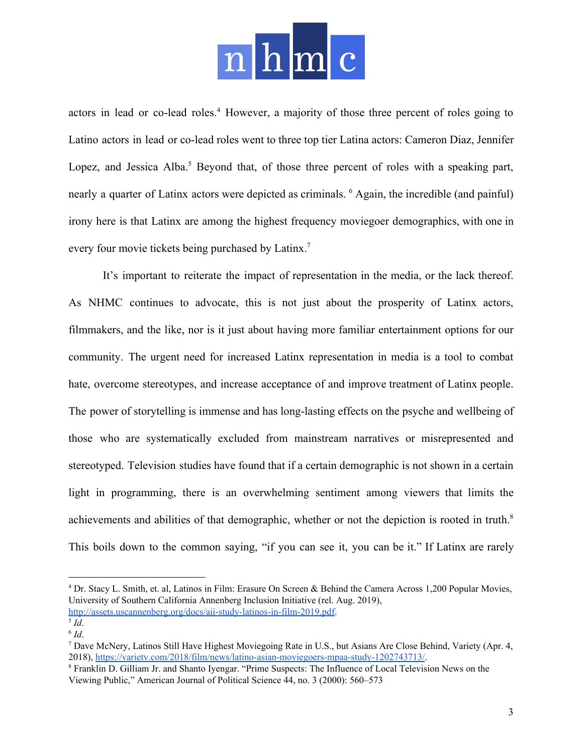## $h|m$

actors in lead or co-lead roles.<sup>4</sup> However, a majority of those three percent of roles going to Latino actors in lead or co-lead roles went to three top tier Latina actors: Cameron Diaz, Jennifer Lopez, and Jessica Alba.<sup>5</sup> Beyond that, of those three percent of roles with a speaking part, nearly a quarter of Latinx actors were depicted as criminals. <sup>6</sup> Again, the incredible (and painful) irony here is that Latinx are among the highest frequency moviegoer demographics, with one in every four movie tickets being purchased by Latinx.<sup>7</sup>

It's important to reiterate the impact of representation in the media, or the lack thereof. As NHMC continues to advocate, this is not just about the prosperity of Latinx actors, filmmakers, and the like, nor is it just about having more familiar entertainment options for our community. The urgent need for increased Latinx representation in media is a tool to combat hate, overcome stereotypes, and increase acceptance of and improve treatment of Latinx people. The power of storytelling is immense and has long-lasting effects on the psyche and wellbeing of those who are systematically excluded from mainstream narratives or misrepresented and stereotyped. Television studies have found that if a certain demographic is not shown in a certain light in programming, there is an overwhelming sentiment among viewers that limits the achievements and abilities of that demographic, whether or not the depiction is rooted in truth.<sup>8</sup> This boils down to the common saying, "if you can see it, you can be it." If Latinx are rarely

<sup>&</sup>lt;sup>4</sup> Dr. Stacy L. Smith, et. al, Latinos in Film: Erasure On Screen & Behind the Camera Across 1,200 Popular Movies, University of Southern California Annenberg Inclusion Initiative (rel. Aug. 2019), [http://assets.uscannenberg.org/docs/aii-study-latinos-in-film-2019.pdf.](http://assets.uscannenberg.org/docs/aii-study-latinos-in-film-2019.pdf)

<sup>5</sup> *Id*.

<sup>6</sup> *Id*.

<sup>7</sup> Dave McNery, Latinos Still Have Highest Moviegoing Rate in U.S., but Asians Are Close Behind, Variety (Apr. 4, 2018), <https://variety.com/2018/film/news/latino-asian-moviegoers-mpaa-study-1202743713/>.

<sup>8</sup> Franklin D. Gilliam Jr. and Shanto Iyengar. "Prime Suspects: The Influence of Local Television News on the Viewing Public," American Journal of Political Science 44, no. 3 (2000): 560–573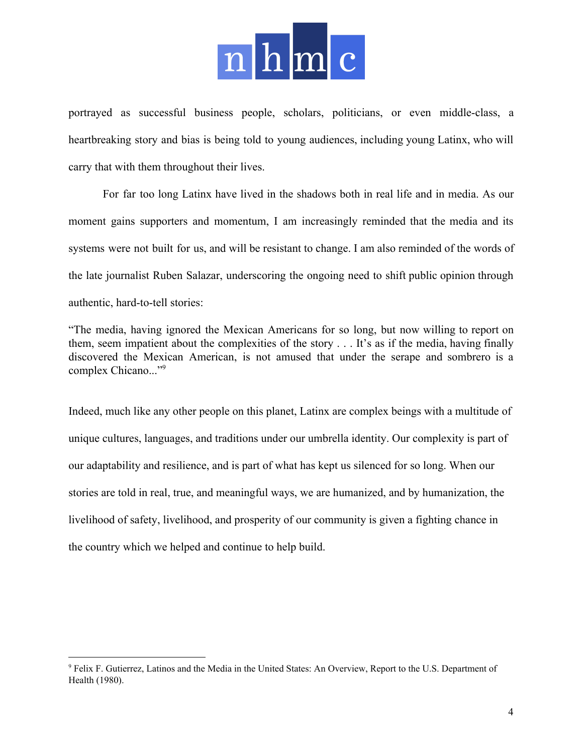

portrayed as successful business people, scholars, politicians, or even middle-class, a heartbreaking story and bias is being told to young audiences, including young Latinx, who will carry that with them throughout their lives.

For far too long Latinx have lived in the shadows both in real life and in media. As our moment gains supporters and momentum, I am increasingly reminded that the media and its systems were not built for us, and will be resistant to change. I am also reminded of the words of the late journalist Ruben Salazar, underscoring the ongoing need to shift public opinion through authentic, hard-to-tell stories:

"The media, having ignored the Mexican Americans for so long, but now willing to report on them, seem impatient about the complexities of the story . . . It's as if the media, having finally discovered the Mexican American, is not amused that under the serape and sombrero is a complex Chicano..."<sup>9</sup>

Indeed, much like any other people on this planet, Latinx are complex beings with a multitude of unique cultures, languages, and traditions under our umbrella identity. Our complexity is part of our adaptability and resilience, and is part of what has kept us silenced for so long. When our stories are told in real, true, and meaningful ways, we are humanized, and by humanization, the livelihood of safety, livelihood, and prosperity of our community is given a fighting chance in the country which we helped and continue to help build.

<sup>9</sup> Felix F. Gutierrez, Latinos and the Media in the United States: An Overview, Report to the U.S. Department of Health (1980).